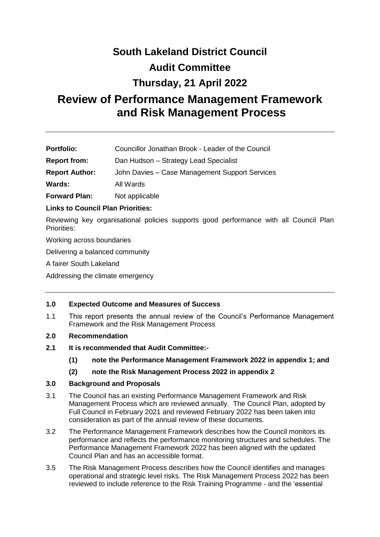# **South Lakeland District Council**

### **Audit Committee**

## **Thursday, 21 April 2022**

# **Review of Performance Management Framework and Risk Management Process**

| <b>Portfolio:</b> | Councillor Jonathan Brook - Leader of the Council |  |
|-------------------|---------------------------------------------------|--|
|                   |                                                   |  |

**Report from:** Dan Hudson – Strategy Lead Specialist

**Report Author:** John Davies – Case Management Support Services

**Wards:** All Wards

**Forward Plan:** Not applicable

#### **Links to Council Plan Priorities:**

Reviewing key organisational policies supports good performance with all Council Plan Priorities:

Working across boundaries

Delivering a balanced community

A fairer South Lakeland

Addressing the climate emergency

#### **1.0 Expected Outcome and Measures of Success**

1.1 This report presents the annual review of the Council's Performance Management Framework and the Risk Management Process

#### **2.0 Recommendation**

- **2.1 It is recommended that Audit Committee:-**
	- **(1) note the Performance Management Framework 2022 in appendix 1; and**
	- **(2) note the Risk Management Process 2022 in appendix 2**

#### **3.0 Background and Proposals**

- 3.1 The Council has an existing Performance Management Framework and Risk Management Process which are reviewed annually. The Council Plan, adopted by Full Council in February 2021 and reviewed February 2022 has been taken into consideration as part of the annual review of these documents.
- 3.2 The Performance Management Framework describes how the Council monitors its performance and reflects the performance monitoring structures and schedules. The Performance Management Framework 2022 has been aligned with the updated Council Plan and has an accessible format.
- 3.5 The Risk Management Process describes how the Council identifies and manages operational and strategic level risks. The Risk Management Process 2022 has been reviewed to include reference to the Risk Training Programme - and the 'essential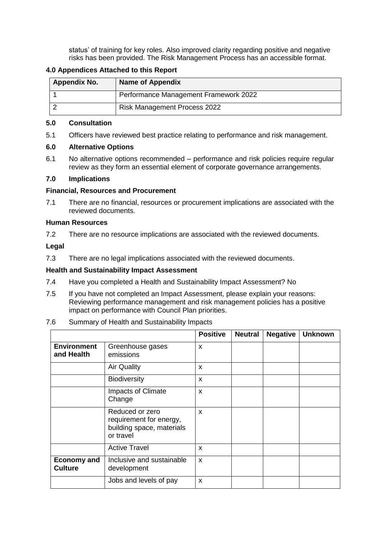status' of training for key roles. Also improved clarity regarding positive and negative risks has been provided. The Risk Management Process has an accessible format.

#### **4.0 Appendices Attached to this Report**

| <b>Appendix No.</b> | <b>Name of Appendix</b>               |
|---------------------|---------------------------------------|
|                     | Performance Management Framework 2022 |
|                     | <b>Risk Management Process 2022</b>   |

#### **5.0 Consultation**

5.1 Officers have reviewed best practice relating to performance and risk management.

#### **6.0 Alternative Options**

6.1 No alternative options recommended – performance and risk policies require regular review as they form an essential element of corporate governance arrangements.

#### **7.0 Implications**

#### **Financial, Resources and Procurement**

7.1 There are no financial, resources or procurement implications are associated with the reviewed documents.

#### **Human Resources**

7.2 There are no resource implications are associated with the reviewed documents.

#### **Legal**

7.3 There are no legal implications associated with the reviewed documents.

#### **Health and Sustainability Impact Assessment**

- 7.4 Have you completed a Health and Sustainability Impact Assessment? No
- 7.5 If you have not completed an Impact Assessment, please explain your reasons: Reviewing performance management and risk management policies has a positive impact on performance with Council Plan priorities.

#### 7.6 Summary of Health and Sustainability Impacts

|                                      |                                                                                      | <b>Positive</b> | <b>Neutral</b> | <b>Negative</b> | <b>Unknown</b> |
|--------------------------------------|--------------------------------------------------------------------------------------|-----------------|----------------|-----------------|----------------|
| <b>Environment</b><br>and Health     | Greenhouse gases<br>emissions                                                        | X               |                |                 |                |
|                                      | <b>Air Quality</b>                                                                   | X               |                |                 |                |
|                                      | <b>Biodiversity</b>                                                                  | X               |                |                 |                |
|                                      | Impacts of Climate<br>Change                                                         | X               |                |                 |                |
|                                      | Reduced or zero<br>requirement for energy,<br>building space, materials<br>or travel | X               |                |                 |                |
|                                      | <b>Active Travel</b>                                                                 | X               |                |                 |                |
| <b>Economy and</b><br><b>Culture</b> | Inclusive and sustainable<br>development                                             | X               |                |                 |                |
|                                      | Jobs and levels of pay                                                               | X               |                |                 |                |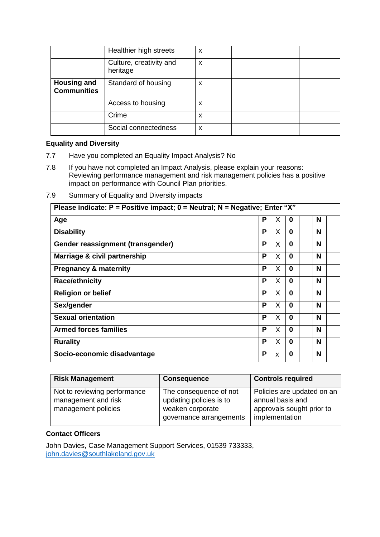|                                          | Healthier high streets              | X |  |  |
|------------------------------------------|-------------------------------------|---|--|--|
|                                          | Culture, creativity and<br>heritage | X |  |  |
| <b>Housing and</b><br><b>Communities</b> | Standard of housing                 | X |  |  |
|                                          | Access to housing                   | х |  |  |
|                                          | Crime                               | х |  |  |
|                                          | Social connectedness                | X |  |  |

#### **Equality and Diversity**

- 7.7 Have you completed an Equality Impact Analysis? No
- 7.8 If you have not completed an Impact Analysis, please explain your reasons: Reviewing performance management and risk management policies has a positive impact on performance with Council Plan priorities.
- 7.9 Summary of Equality and Diversity impacts

| Please indicate: $P =$ Positive impact; $0 =$ Neutral; N = Negative; Enter "X" |   |   |              |   |
|--------------------------------------------------------------------------------|---|---|--------------|---|
| Age                                                                            | P | X | 0            | N |
| <b>Disability</b>                                                              | P | X | 0            | N |
| Gender reassignment (transgender)                                              | Р | X | 0            | N |
| Marriage & civil partnership                                                   | P | X | 0            | N |
| <b>Pregnancy &amp; maternity</b>                                               | P | X | $\mathbf{0}$ | N |
| <b>Race/ethnicity</b>                                                          | P | X | 0            | N |
| <b>Religion or belief</b>                                                      | P | X | 0            | N |
| Sex/gender                                                                     | P | X | 0            | N |
| <b>Sexual orientation</b>                                                      | P | X | $\Omega$     | N |
| <b>Armed forces families</b>                                                   | P | X | $\Omega$     | N |
| <b>Rurality</b>                                                                | P | X | $\Omega$     | N |
| Socio-economic disadvantage                                                    | Р | X | 0            | N |

| <b>Risk Management</b>                                                     | <b>Consequence</b>                                                                               | <b>Controls required</b>                                                                      |
|----------------------------------------------------------------------------|--------------------------------------------------------------------------------------------------|-----------------------------------------------------------------------------------------------|
| Not to reviewing performance<br>management and risk<br>management policies | The consequence of not<br>updating policies is to<br>weaken corporate<br>governance arrangements | Policies are updated on an<br>annual basis and<br>approvals sought prior to<br>implementation |

#### **Contact Officers**

John Davies, Case Management Support Services, 01539 733333, [john.davies@southlakeland.gov.uk](mailto:john.davies@southlakeland.gov.uk)